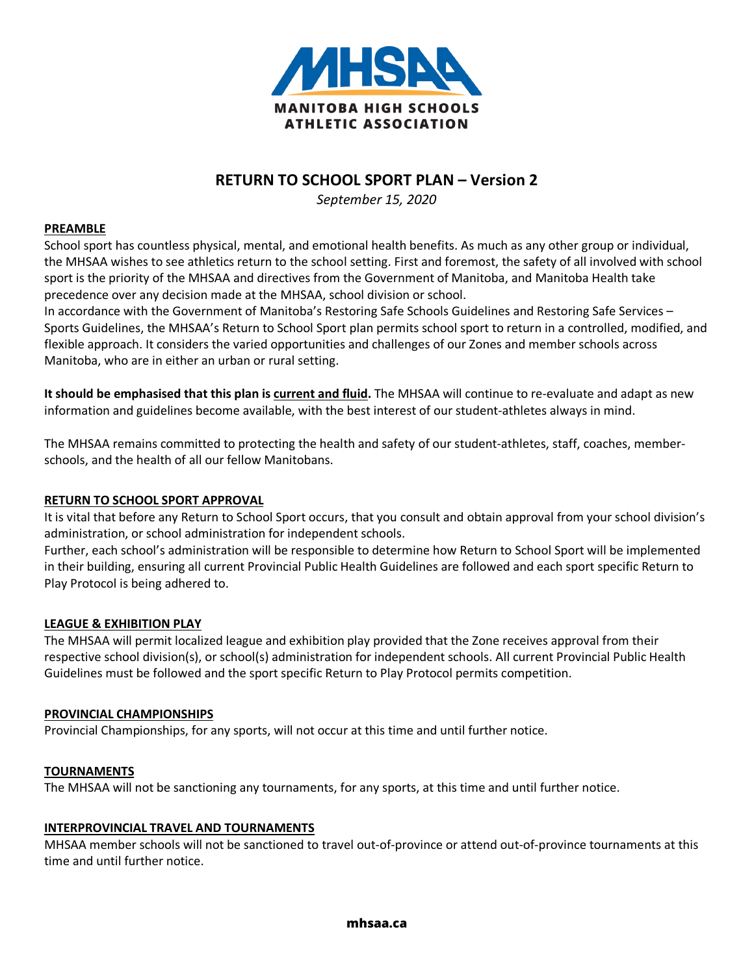

# **RETURN TO SCHOOL SPORT PLAN – Version 2**

*September 15, 2020*

### **PREAMBLE**

School sport has countless physical, mental, and emotional health benefits. As much as any other group or individual, the MHSAA wishes to see athletics return to the school setting. First and foremost, the safety of all involved with school sport is the priority of the MHSAA and directives from the Government of Manitoba, and Manitoba Health take precedence over any decision made at the MHSAA, school division or school.

In accordance with the Government of Manitoba's Restoring Safe Schools Guidelines and Restoring Safe Services – Sports Guidelines, the MHSAA's Return to School Sport plan permits school sport to return in a controlled, modified, and flexible approach. It considers the varied opportunities and challenges of our Zones and member schools across Manitoba, who are in either an urban or rural setting.

**It should be emphasised that this plan is current and fluid.** The MHSAA will continue to re-evaluate and adapt as new information and guidelines become available, with the best interest of our student-athletes always in mind.

The MHSAA remains committed to protecting the health and safety of our student-athletes, staff, coaches, memberschools, and the health of all our fellow Manitobans.

### **RETURN TO SCHOOL SPORT APPROVAL**

It is vital that before any Return to School Sport occurs, that you consult and obtain approval from your school division's administration, or school administration for independent schools.

Further, each school's administration will be responsible to determine how Return to School Sport will be implemented in their building, ensuring all current Provincial Public Health Guidelines are followed and each sport specific Return to Play Protocol is being adhered to.

### **LEAGUE & EXHIBITION PLAY**

The MHSAA will permit localized league and exhibition play provided that the Zone receives approval from their respective school division(s), or school(s) administration for independent schools. All current Provincial Public Health Guidelines must be followed and the sport specific Return to Play Protocol permits competition.

### **PROVINCIAL CHAMPIONSHIPS**

Provincial Championships, for any sports, will not occur at this time and until further notice.

#### **TOURNAMENTS**

The MHSAA will not be sanctioning any tournaments, for any sports, at this time and until further notice.

### **INTERPROVINCIAL TRAVEL AND TOURNAMENTS**

MHSAA member schools will not be sanctioned to travel out-of-province or attend out-of-province tournaments at this time and until further notice.